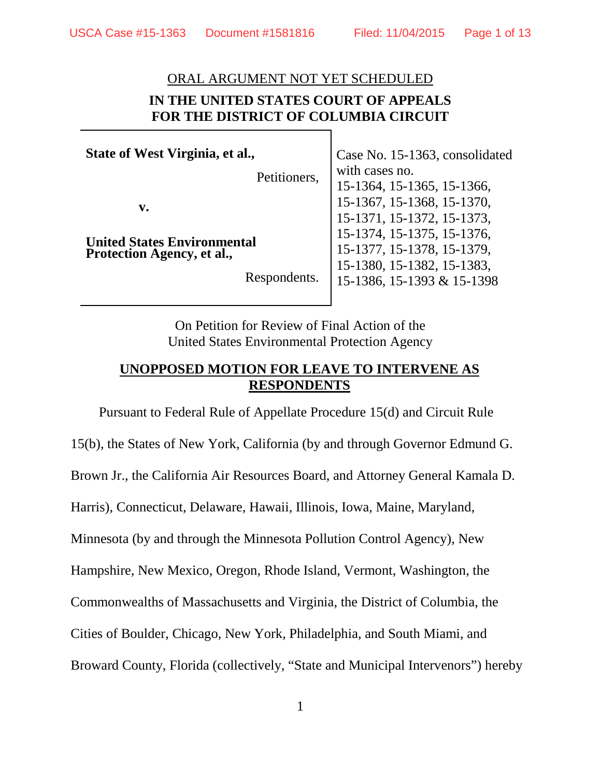#### ORAL ARGUMENT NOT YET SCHEDULED

# **IN THE UNITED STATES COURT OF APPEALS FOR THE DISTRICT OF COLUMBIA CIRCUIT**

**State of West Virginia, et al.,**

Petitioners,

**v.**

**United States Environmental Protection Agency, et al.,**

Respondents.

Case No. 15-1363, consolidated with cases no. 15-1364, 15-1365, 15-1366, 15-1367, 15-1368, 15-1370, 15-1371, 15-1372, 15-1373, 15-1374, 15-1375, 15-1376, 15-1377, 15-1378, 15-1379, 15-1380, 15-1382, 15-1383, 15-1386, 15-1393 & 15-1398

On Petition for Review of Final Action of the United States Environmental Protection Agency

# **UNOPPOSED MOTION FOR LEAVE TO INTERVENE AS RESPONDENTS**

Pursuant to Federal Rule of Appellate Procedure 15(d) and Circuit Rule

15(b), the States of New York, California (by and through Governor Edmund G. Brown Jr., the California Air Resources Board, and Attorney General Kamala D. Harris), Connecticut, Delaware, Hawaii, Illinois, Iowa, Maine, Maryland, Minnesota (by and through the Minnesota Pollution Control Agency), New Hampshire, New Mexico, Oregon, Rhode Island, Vermont, Washington, the Commonwealths of Massachusetts and Virginia, the District of Columbia, the Cities of Boulder, Chicago, New York, Philadelphia, and South Miami, and Broward County, Florida (collectively, "State and Municipal Intervenors") hereby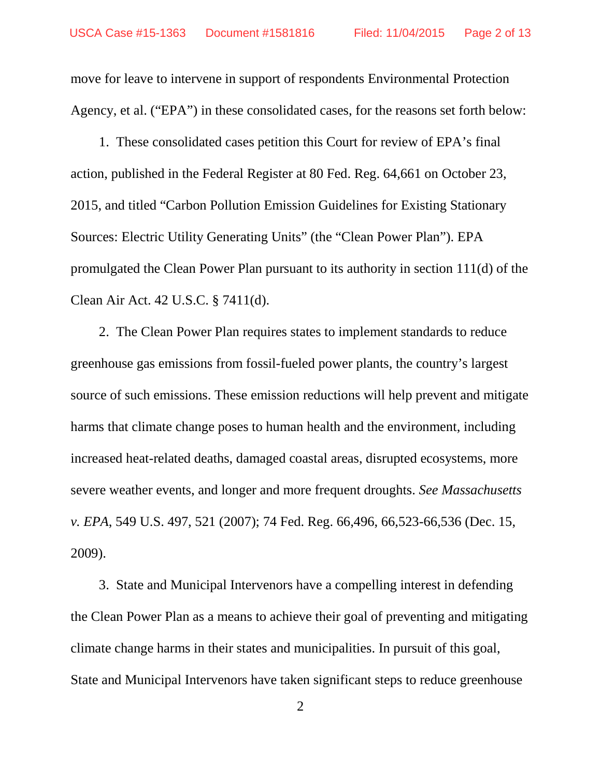move for leave to intervene in support of respondents Environmental Protection Agency, et al. ("EPA") in these consolidated cases, for the reasons set forth below:

1. These consolidated cases petition this Court for review of EPA's final action, published in the Federal Register at 80 Fed. Reg. 64,661 on October 23, 2015, and titled "Carbon Pollution Emission Guidelines for Existing Stationary Sources: Electric Utility Generating Units" (the "Clean Power Plan"). EPA promulgated the Clean Power Plan pursuant to its authority in section 111(d) of the Clean Air Act. 42 U.S.C. § 7411(d).

2. The Clean Power Plan requires states to implement standards to reduce greenhouse gas emissions from fossil-fueled power plants, the country's largest source of such emissions. These emission reductions will help prevent and mitigate harms that climate change poses to human health and the environment, including increased heat-related deaths, damaged coastal areas, disrupted ecosystems, more severe weather events, and longer and more frequent droughts. *See Massachusetts v. EPA*, 549 U.S. 497, 521 (2007); 74 Fed. Reg. 66,496, 66,523-66,536 (Dec. 15, 2009).

3. State and Municipal Intervenors have a compelling interest in defending the Clean Power Plan as a means to achieve their goal of preventing and mitigating climate change harms in their states and municipalities. In pursuit of this goal, State and Municipal Intervenors have taken significant steps to reduce greenhouse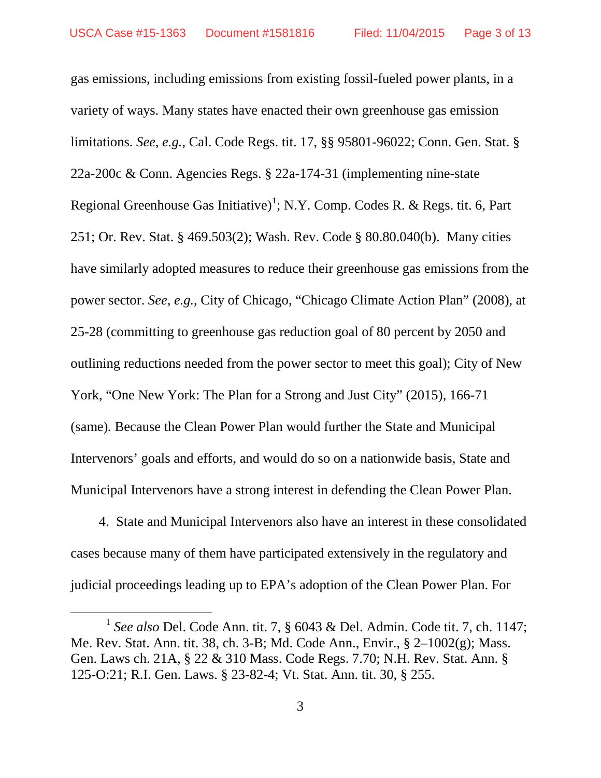gas emissions, including emissions from existing fossil-fueled power plants, in a variety of ways. Many states have enacted their own greenhouse gas emission limitations. *See*, *e.g.*, Cal. Code Regs. tit. 17, §§ 95801-96022; Conn. Gen. Stat. § 22a-200c & Conn. Agencies Regs. § 22a-174-31 (implementing nine-state Regional Greenhouse Gas Initiative)<sup>[1](#page-2-0)</sup>; N.Y. Comp. Codes R. & Regs. tit. 6, Part 251; Or. Rev. Stat. § 469.503(2); Wash. Rev. Code § 80.80.040(b). Many cities have similarly adopted measures to reduce their greenhouse gas emissions from the power sector. *See*, *e.g.*, City of Chicago, "Chicago Climate Action Plan" (2008), at 25-28 (committing to greenhouse gas reduction goal of 80 percent by 2050 and outlining reductions needed from the power sector to meet this goal); City of New York, "One New York: The Plan for a Strong and Just City" (2015), 166-71 (same)*.* Because the Clean Power Plan would further the State and Municipal Intervenors' goals and efforts, and would do so on a nationwide basis, State and Municipal Intervenors have a strong interest in defending the Clean Power Plan.

4. State and Municipal Intervenors also have an interest in these consolidated cases because many of them have participated extensively in the regulatory and judicial proceedings leading up to EPA's adoption of the Clean Power Plan. For

 $\overline{a}$ 

<span id="page-2-0"></span><sup>1</sup> *See also* Del. Code Ann. tit. 7, § 6043 & Del. Admin. Code tit. 7, ch. 1147; Me. Rev. Stat. Ann. tit. 38, ch. 3-B; Md. Code Ann., Envir., § 2–1002(g); Mass. Gen. Laws ch. 21A, § 22 & 310 Mass. Code Regs. 7.70; N.H. Rev. Stat. Ann. § 125-O:21; R.I. Gen. Laws. § 23-82-4; Vt. Stat. Ann. tit. 30, § 255.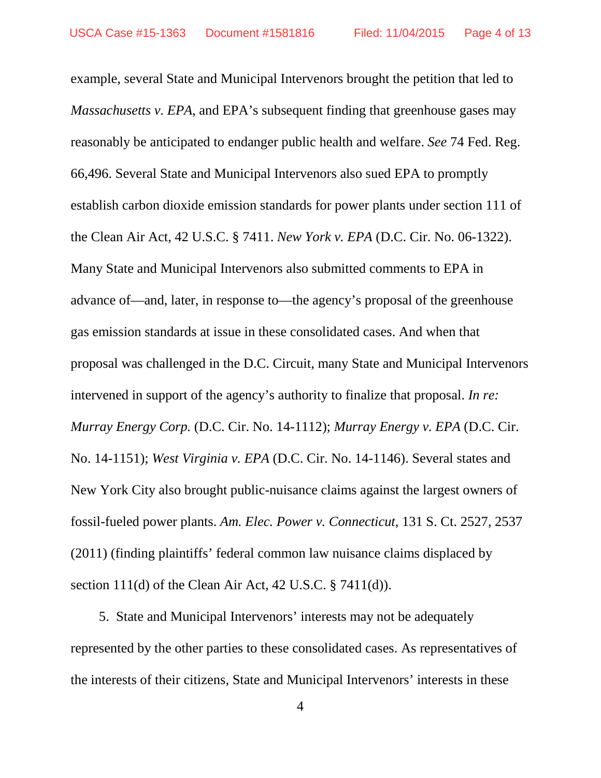example, several State and Municipal Intervenors brought the petition that led to *Massachusetts v. EPA*, and EPA's subsequent finding that greenhouse gases may reasonably be anticipated to endanger public health and welfare. *See* 74 Fed. Reg. 66,496. Several State and Municipal Intervenors also sued EPA to promptly establish carbon dioxide emission standards for power plants under section 111 of the Clean Air Act, 42 U.S.C. § 7411. *New York v. EPA* (D.C. Cir. No. 06-1322). Many State and Municipal Intervenors also submitted comments to EPA in advance of—and, later, in response to—the agency's proposal of the greenhouse gas emission standards at issue in these consolidated cases. And when that proposal was challenged in the D.C. Circuit, many State and Municipal Intervenors intervened in support of the agency's authority to finalize that proposal. *In re: Murray Energy Corp.* (D.C. Cir. No. 14-1112); *Murray Energy v. EPA* (D.C. Cir. No. 14-1151); *West Virginia v. EPA* (D.C. Cir. No. 14-1146). Several states and New York City also brought public-nuisance claims against the largest owners of fossil-fueled power plants. *Am. Elec. Power v. Connecticut*, 131 S. Ct. 2527, 2537 (2011) (finding plaintiffs' federal common law nuisance claims displaced by section 111(d) of the Clean Air Act, 42 U.S.C. § 7411(d)).

5. State and Municipal Intervenors' interests may not be adequately represented by the other parties to these consolidated cases. As representatives of the interests of their citizens, State and Municipal Intervenors' interests in these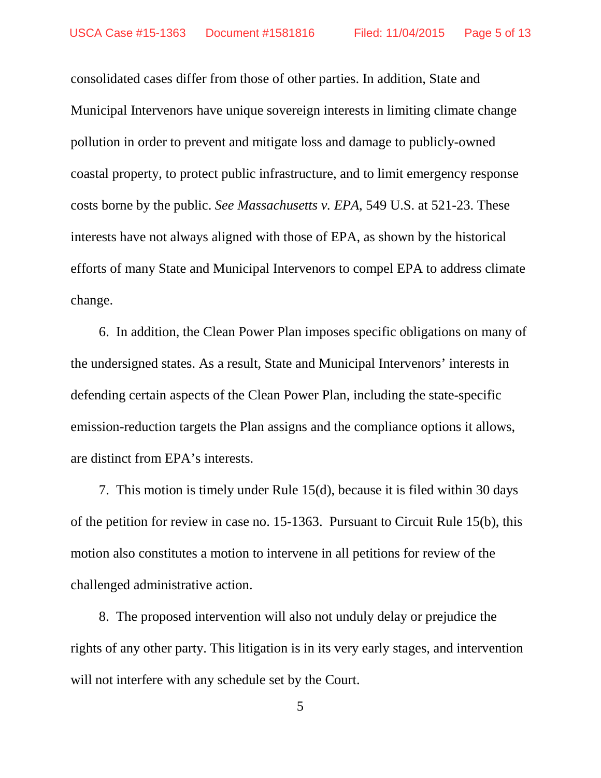consolidated cases differ from those of other parties. In addition, State and Municipal Intervenors have unique sovereign interests in limiting climate change pollution in order to prevent and mitigate loss and damage to publicly-owned coastal property, to protect public infrastructure, and to limit emergency response costs borne by the public. *See Massachusetts v. EPA*, 549 U.S. at 521-23. These interests have not always aligned with those of EPA, as shown by the historical efforts of many State and Municipal Intervenors to compel EPA to address climate change.

6. In addition, the Clean Power Plan imposes specific obligations on many of the undersigned states. As a result, State and Municipal Intervenors' interests in defending certain aspects of the Clean Power Plan, including the state-specific emission-reduction targets the Plan assigns and the compliance options it allows, are distinct from EPA's interests.

7. This motion is timely under Rule 15(d), because it is filed within 30 days of the petition for review in case no. 15-1363. Pursuant to Circuit Rule 15(b), this motion also constitutes a motion to intervene in all petitions for review of the challenged administrative action.

8. The proposed intervention will also not unduly delay or prejudice the rights of any other party. This litigation is in its very early stages, and intervention will not interfere with any schedule set by the Court.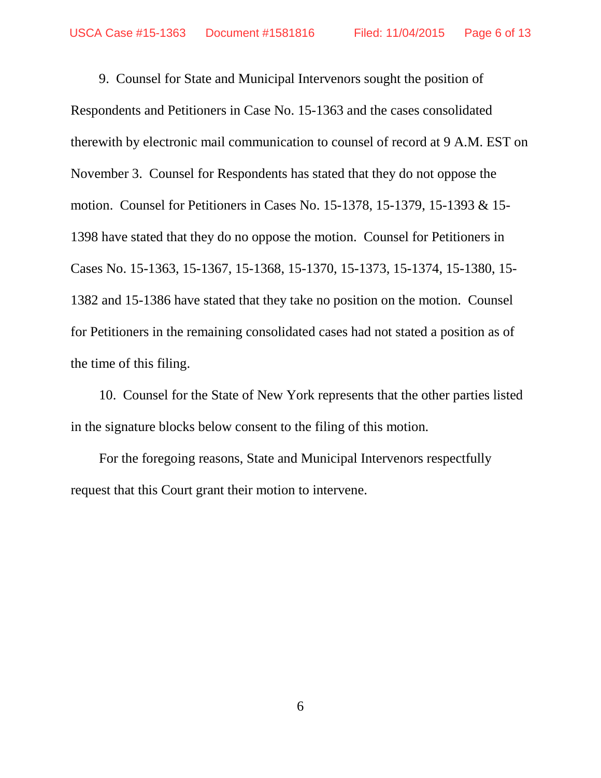9. Counsel for State and Municipal Intervenors sought the position of Respondents and Petitioners in Case No. 15-1363 and the cases consolidated therewith by electronic mail communication to counsel of record at 9 A.M. EST on November 3. Counsel for Respondents has stated that they do not oppose the motion. Counsel for Petitioners in Cases No. 15-1378, 15-1379, 15-1393 & 15- 1398 have stated that they do no oppose the motion. Counsel for Petitioners in Cases No. 15-1363, 15-1367, 15-1368, 15-1370, 15-1373, 15-1374, 15-1380, 15- 1382 and 15-1386 have stated that they take no position on the motion. Counsel for Petitioners in the remaining consolidated cases had not stated a position as of the time of this filing.

10. Counsel for the State of New York represents that the other parties listed in the signature blocks below consent to the filing of this motion.

For the foregoing reasons, State and Municipal Intervenors respectfully request that this Court grant their motion to intervene.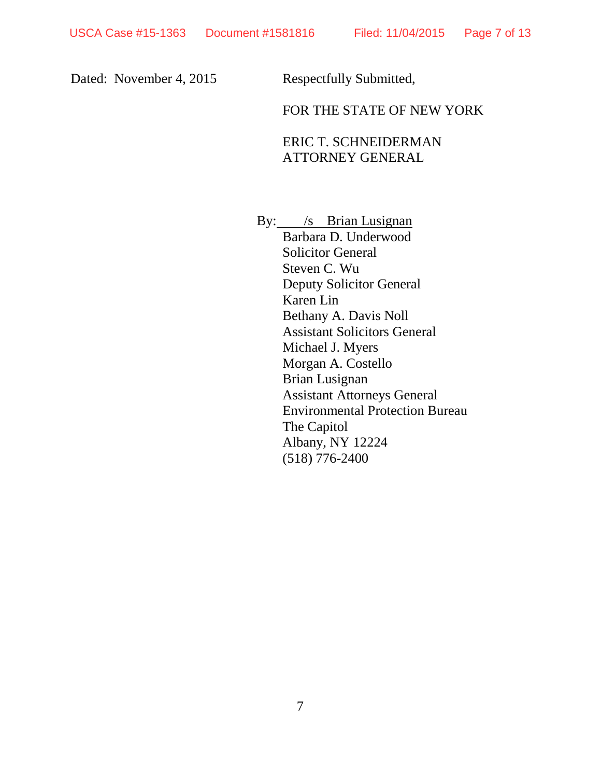# Dated: November 4, 2015 Respectfully Submitted,

# FOR THE STATE OF NEW YORK

# ERIC T. SCHNEIDERMAN ATTORNEY GENERAL

By: /s Brian Lusignan

Barbara D. Underwood Solicitor General Steven C. Wu Deputy Solicitor General Karen Lin Bethany A. Davis Noll Assistant Solicitors General Michael J. Myers Morgan A. Costello Brian Lusignan Assistant Attorneys General Environmental Protection Bureau The Capitol Albany, NY 12224 (518) 776-2400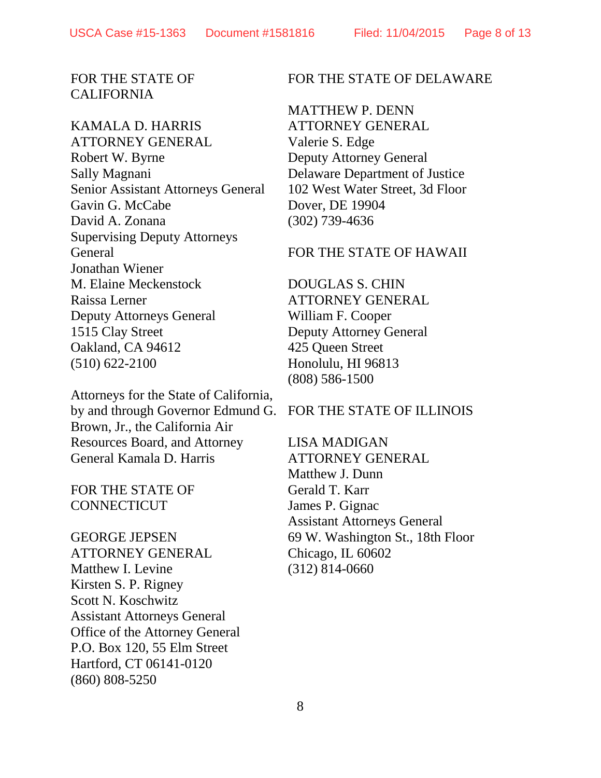## FOR THE STATE OF CALIFORNIA

## KAMALA D. HARRIS

ATTORNEY GENERAL Robert W. Byrne Sally Magnani Senior Assistant Attorneys General Gavin G. McCabe David A. Zonana Supervising Deputy Attorneys General Jonathan Wiener M. Elaine Meckenstock Raissa Lerner Deputy Attorneys General 1515 Clay Street Oakland, CA 94612 (510) 622-2100

Attorneys for the State of California, by and through Governor Edmund G. Brown, Jr., the California Air Resources Board, and Attorney General Kamala D. Harris

# FOR THE STATE OF **CONNECTICUT**

GEORGE JEPSEN ATTORNEY GENERAL Matthew I. Levine Kirsten S. P. Rigney Scott N. Koschwitz Assistant Attorneys General Office of the Attorney General P.O. Box 120, 55 Elm Street Hartford, CT 06141-0120 (860) 808-5250

#### FOR THE STATE OF DELAWARE

MATTHEW P. DENN ATTORNEY GENERAL Valerie S. Edge Deputy Attorney General Delaware Department of Justice 102 West Water Street, 3d Floor Dover, DE 19904 (302) 739-4636

#### FOR THE STATE OF HAWAII

DOUGLAS S. CHIN ATTORNEY GENERAL William F. Cooper Deputy Attorney General 425 Queen Street Honolulu, HI 96813 (808) 586-1500

#### FOR THE STATE OF ILLINOIS

LISA MADIGAN ATTORNEY GENERAL Matthew J. Dunn Gerald T. Karr James P. Gignac Assistant Attorneys General 69 W. Washington St., 18th Floor Chicago, IL 60602 (312) 814-0660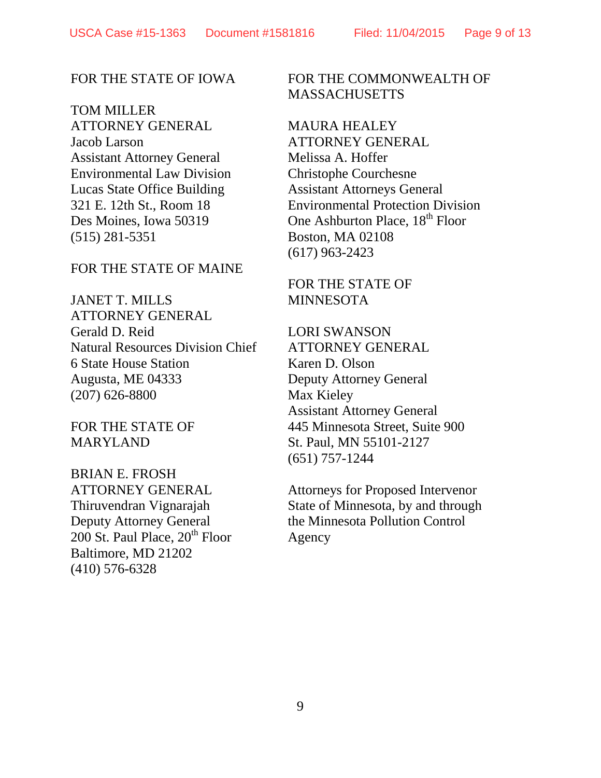#### FOR THE STATE OF IOWA

TOM MILLER ATTORNEY GENERAL Jacob Larson Assistant Attorney General Environmental Law Division Lucas State Office Building 321 E. 12th St., Room 18 Des Moines, Iowa 50319 (515) 281-5351

## FOR THE STATE OF MAINE

JANET T. MILLS ATTORNEY GENERAL Gerald D. Reid Natural Resources Division Chief 6 State House Station Augusta, ME 04333 (207) 626-8800

FOR THE STATE OF MARYLAND

BRIAN E. FROSH ATTORNEY GENERAL Thiruvendran Vignarajah Deputy Attorney General  $200$  St. Paul Place,  $20<sup>th</sup>$  Floor Baltimore, MD 21202 (410) 576-6328

## FOR THE COMMONWEALTH OF **MASSACHUSETTS**

MAURA HEALEY ATTORNEY GENERAL Melissa A. Hoffer Christophe Courchesne Assistant Attorneys General Environmental Protection Division One Ashburton Place, 18<sup>th</sup> Floor Boston, MA 02108 (617) 963-2423

# FOR THE STATE OF **MINNESOTA**

LORI SWANSON ATTORNEY GENERAL Karen D. Olson Deputy Attorney General Max Kieley Assistant Attorney General 445 Minnesota Street, Suite 900 St. Paul, MN 55101-2127 (651) 757-1244

Attorneys for Proposed Intervenor State of Minnesota, by and through the Minnesota Pollution Control Agency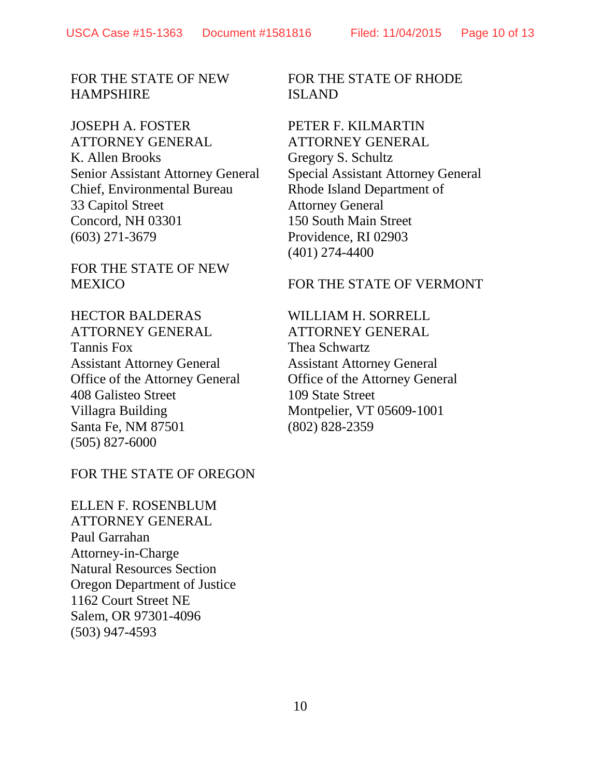FOR THE STATE OF NEW HAMPSHIRE

JOSEPH A. FOSTER ATTORNEY GENERAL K. Allen Brooks Senior Assistant Attorney General Chief, Environmental Bureau 33 Capitol Street Concord, NH 03301 (603) 271-3679

FOR THE STATE OF NEW **MEXICO** 

FOR THE STATE OF RHODE ISLAND

PETER F. KILMARTIN ATTORNEY GENERAL Gregory S. Schultz Special Assistant Attorney General Rhode Island Department of Attorney General 150 South Main Street Providence, RI 02903 (401) 274-4400

FOR THE STATE OF VERMONT

HECTOR BALDERAS ATTORNEY GENERAL Tannis Fox Assistant Attorney General Office of the Attorney General 408 Galisteo Street Villagra Building Santa Fe, NM 87501 (505) 827-6000

#### FOR THE STATE OF OREGON

ELLEN F. ROSENBLUM ATTORNEY GENERAL Paul Garrahan Attorney-in-Charge Natural Resources Section Oregon Department of Justice 1162 Court Street NE Salem, OR 97301-4096 (503) 947-4593

WILLIAM H. SORRELL ATTORNEY GENERAL Thea Schwartz Assistant Attorney General Office of the Attorney General 109 State Street Montpelier, VT 05609-1001 (802) 828-2359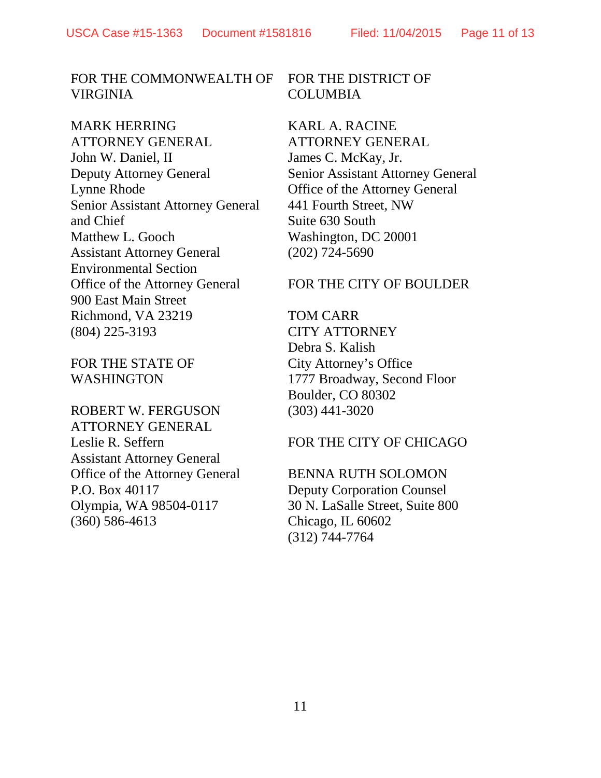## FOR THE COMMONWEALTH OF VIRGINIA

MARK HERRING ATTORNEY GENERAL John W. Daniel, II Deputy Attorney General Lynne Rhode Senior Assistant Attorney General and Chief Matthew L. Gooch Assistant Attorney General Environmental Section Office of the Attorney General 900 East Main Street Richmond, VA 23219 (804) 225-3193

FOR THE STATE OF WASHINGTON

# ROBERT W. FERGUSON ATTORNEY GENERAL Leslie R. Seffern Assistant Attorney General Office of the Attorney General P.O. Box 40117 Olympia, WA 98504-0117 (360) 586-4613

#### FOR THE DISTRICT OF COLUMBIA

KARL A. RACINE ATTORNEY GENERAL James C. McKay, Jr. Senior Assistant Attorney General Office of the Attorney General 441 Fourth Street, NW Suite 630 South Washington, DC 20001 (202) 724-5690

#### FOR THE CITY OF BOULDER

TOM CARR CITY ATTORNEY Debra S. Kalish City Attorney's Office 1777 Broadway, Second Floor Boulder, CO 80302 (303) 441-3020

#### FOR THE CITY OF CHICAGO

BENNA RUTH SOLOMON Deputy Corporation Counsel 30 N. LaSalle Street, Suite 800 Chicago, IL 60602 (312) 744-7764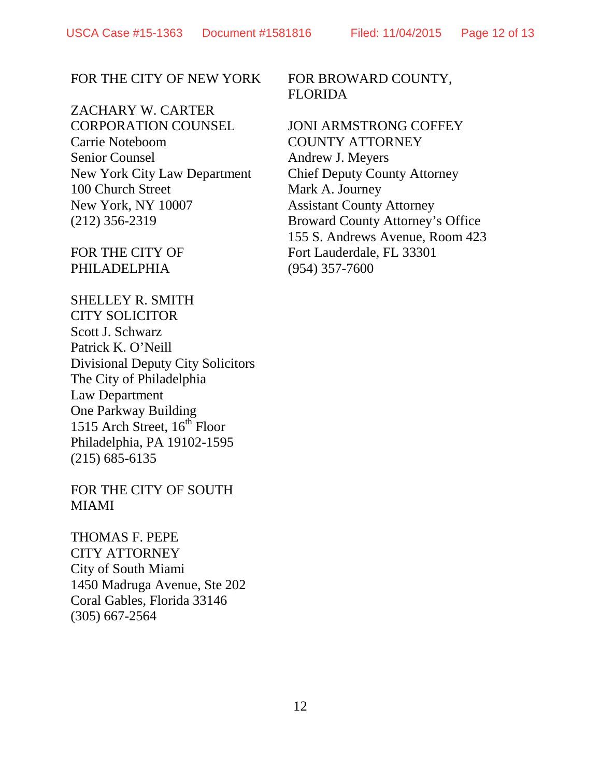## FOR THE CITY OF NEW YORK

ZACHARY W. CARTER CORPORATION COUNSEL Carrie Noteboom Senior Counsel New York City Law Department 100 Church Street New York, NY 10007 (212) 356-2319

FOR THE CITY OF PHILADELPHIA

SHELLEY R. SMITH CITY SOLICITOR Scott J. Schwarz Patrick K. O'Neill Divisional Deputy City Solicitors The City of Philadelphia Law Department One Parkway Building 1515 Arch Street,  $16^{th}$  Floor Philadelphia, PA 19102-1595 (215) 685-6135

FOR THE CITY OF SOUTH MIAMI

THOMAS F. PEPE CITY ATTORNEY City of South Miami 1450 Madruga Avenue, Ste 202 Coral Gables, Florida 33146 (305) 667-2564

## FOR BROWARD COUNTY, FLORIDA

JONI ARMSTRONG COFFEY COUNTY ATTORNEY Andrew J. Meyers Chief Deputy County Attorney Mark A. Journey Assistant County Attorney Broward County Attorney's Office 155 S. Andrews Avenue, Room 423 Fort Lauderdale, FL 33301 (954) 357-7600